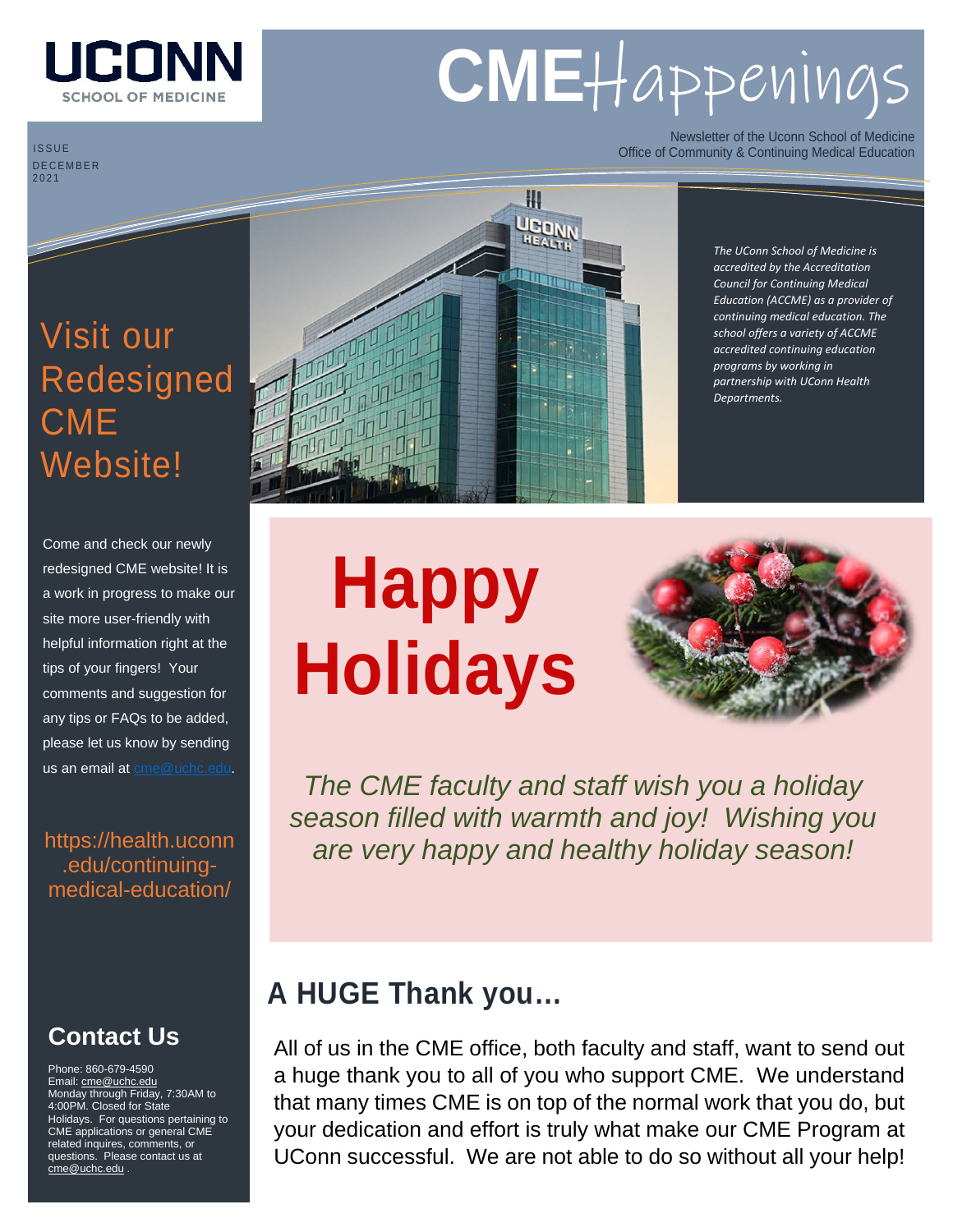

# **CME**Happenings

ISSUE DECEMBER 2021

Newsletter of the Uconn School of Medicine Office of Community & Continuing Medical Education

## Visit our Redesigned **CME** Website!

Come and check our newly redesigned CME website! It is a work in progress to make our site more user-friendly with helpful information right at the tips of your fingers! Your comments and suggestion for any tips or FAQs to be added, please let us know by sending us an email at [cme@uchc.edu.](mailto:cme@uchc.edu)

[https://health.uconn](https://health.uconn.edu/continuing-medical-education/) [.edu/continuing](https://health.uconn.edu/continuing-medical-education/)[medical-education/](https://health.uconn.edu/continuing-medical-education/)

#### **Contact Us**

Phone: 860-679-4590 Email[: cme@uchc.edu](mailto:cme@uchc.edu) Monday through Friday, 7:30AM to 4:00PM. Closed for State Holidays. For questions pertaining to CME applications or general CME related inquires, comments, or questions. Please contact us at [cme@uchc.edu](mailto:cme@uchc.edu) .



*The UConn School of Medicine is accredited by the Accreditation Council for Continuing Medical Education (ACCME) as a provider of continuing medical education. The school offers a variety of ACCME accredited continuing education programs by working in partnership with UConn Health Departments.*

# **Happy Holidays**



*The CME faculty and staff wish you a holiday season filled with warmth and joy! Wishing you are very happy and healthy holiday season!*

#### **A HUGE Thank you…**

All of us in the CME office, both faculty and staff, want to send out a huge thank you to all of you who support CME. We understand that many times CME is on top of the normal work that you do, but your dedication and effort is truly what make our CME Program at UConn successful. We are not able to do so without all your help!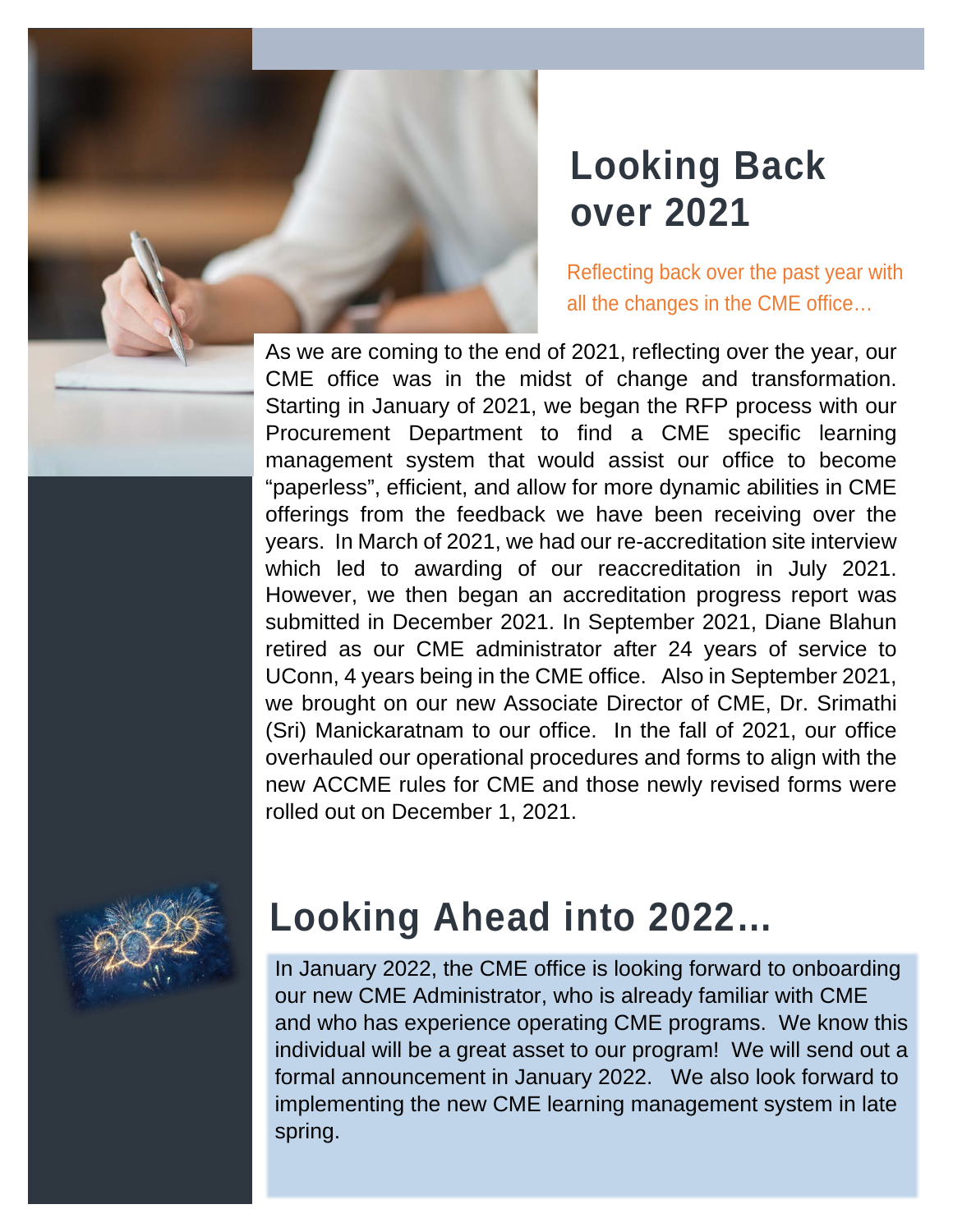## **Looking Back over 2021**

Reflecting back over the past year with all the changes in the CME office…

As we are coming to the end of 2021, reflecting over the year, our CME office was in the midst of change and transformation. Starting in January of 2021, we began the RFP process with our Procurement Department to find a CME specific learning management system that would assist our office to become "paperless", efficient, and allow for more dynamic abilities in CME offerings from the feedback we have been receiving over the years. In March of 2021, we had our re-accreditation site interview which led to awarding of our reaccreditation in July 2021. However, we then began an accreditation progress report was submitted in December 2021. In September 2021, Diane Blahun retired as our CME administrator after 24 years of service to UConn, 4 years being in the CME office. Also in September 2021, we brought on our new Associate Director of CME, Dr. Srimathi (Sri) Manickaratnam to our office. In the fall of 2021, our office overhauled our operational procedures and forms to align with the new ACCME rules for CME and those newly revised forms were rolled out on December 1, 2021.



## **Looking Ahead into 2022…**

In January 2022, the CME office is looking forward to onboarding our new CME Administrator, who is already familiar with CME and who has experience operating CME programs. We know this individual will be a great asset to our program! We will send out a formal announcement in January 2022. We also look forward to implementing the new CME learning management system in late spring.